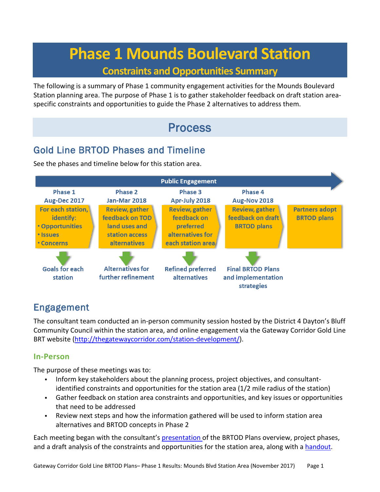# **Phase 1 Mounds Boulevard Station**

### **Constraints and Opportunities Summary**

The following is a summary of Phase 1 community engagement activities for the Mounds Boulevard Station planning area. The purpose of Phase 1 is to gather stakeholder feedback on draft station areaspecific constraints and opportunities to guide the Phase 2 alternatives to address them.

## Process

## Gold Line BRTOD Phases and Timeline

See the phases and timeline below for this station area.



## Engagement

The consultant team conducted an in-person community session hosted by the District 4 Dayton's Bluff Community Council within the station area, and online engagement via the Gateway Corridor Gold Line BRT website [\(http://thegatewaycorridor.com/station-development/\)](http://thegatewaycorridor.com/station-development/).

### **In-Person**

The purpose of these meetings was to:

- Inform key stakeholders about the planning process, project objectives, and consultantidentified constraints and opportunities for the station area (1/2 mile radius of the station)
- Gather feedback on station area constraints and opportunities, and key issues or opportunities that need to be addressed
- Review next steps and how the information gathered will be used to inform station area alternatives and BRTOD concepts in Phase 2

Each meeting began with the consultant'[s presentation o](http://thegatewaycorridor.com/wp-content/uploads/2017/11/Phase-1_Mounds_CONS-OPPS_District-4-Daytons-Bluff_20171011_WEB.pdf)f the BRTOD Plans overview, project phases, and a draft analysis of the constraints and opportunities for the station area, along with a [handout.](http://thegatewaycorridor.com/wp-content/uploads/2017/11/BRTOD_Gold-LIne-Project_BRTOD-Overview.pdf)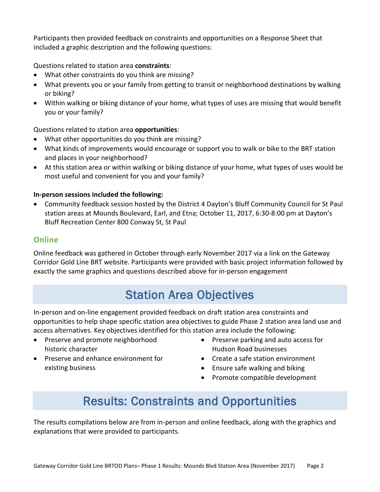Participants then provided feedback on constraints and opportunities on a Response Sheet that included a graphic description and the following questions:

Questions related to station area **constraints**:

- What other constraints do you think are missing?
- What prevents you or your family from getting to transit or neighborhood destinations by walking or biking?
- Within walking or biking distance of your home, what types of uses are missing that would benefit you or your family?

### Questions related to station area **opportunities**:

- What other opportunities do you think are missing?
- What kinds of improvements would encourage or support you to walk or bike to the BRT station and places in your neighborhood?
- At this station area or within walking or biking distance of your home, what types of uses would be most useful and convenient for you and your family?

### **In-person sessions included the following:**

• Community feedback session hosted by the District 4 Dayton's Bluff Community Council for St Paul station areas at Mounds Boulevard, Earl, and Etna; October 11, 2017, 6:30-8:00 pm at Dayton's Bluff Recreation Center 800 Conway St, St Paul

### **Online**

Online feedback was gathered in October through early November 2017 via a link on the Gateway Corridor Gold Line BRT website. Participants were provided with basic project information followed by exactly the same graphics and questions described above for in-person engagement

## Station Area Objectives

In-person and on-line engagement provided feedback on draft station area constraints and opportunities to help shape specific station area objectives to guide Phase 2 station area land use and access alternatives. Key objectives identified for this station area include the following:

- Preserve and promote neighborhood historic character
- Preserve and enhance environment for existing business
- Preserve parking and auto access for Hudson Road businesses
- Create a safe station environment
- Ensure safe walking and biking
- Promote compatible development

## Results: Constraints and Opportunities

The results compilations below are from in-person and online feedback, along with the graphics and explanations that were provided to participants.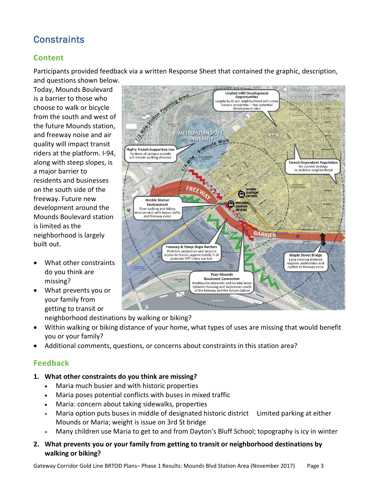## **Constraints**

### **Content**

Participants provided feedback via a written Response Sheet that contained the graphic, description,

and questions shown below. Today, Mounds Boulevard is a barrier to those who choose to walk or bicycle from the south and west of the future Mounds station, and freeway noise and air quality will impact transit riders at the platform. I-94, along with steep slopes, is a major barrier to residents and businesses on the south side of the freeway. Future new development around the Mounds Boulevard station is limited as the neighborhood is largely built out.

- What other constraints do you think are missing?
- What prevents you or your family from getting to transit or
- Largely built-out neighborhood with so<br>historic properties —few potential<br>development sites **METROPLITAN STATE** SITY Walk **UNIVERSITY Highly Transit-Supportive Use** Portions of campus outside<br>a 5-minute walking distance **Transit-Dependent Population** No current strategy<br>to stabilize neighborhood **Hostile Station** Environment Poor walking and biking ronment with heavy traffic<br>and freeway noise Hudson Rd **Freeway & Steep Slope Barriers** Prohibits pedestrian and bicyclist access to transit; approximately ½ of<br>potential BRT riders are lost **Maple Street Bridge** Long crossing distance exposes pedestrians and cyclists to freeway noise **Poor Mounds Boulevard Connection** Inadequate sidewalks and no bike lanes reduction is and to the lane.<br>Letween housing and businesses south<br>of the freeway and the future station

Limited Infill Development<br>Opportunities

WITH ANYWAY ANTENDAM

115434371814

neighborhood destinations by walking or biking?

- Within walking or biking distance of your home, what types of uses are missing that would benefit you or your family?
- Additional comments, questions, or concerns about constraints in this station area?

### **Feedback**

- **1. What other constraints do you think are missing?** 
	- Maria much busier and with historic properties
	- Maria poses potential conflicts with buses in mixed traffic
	- Maria: concern about taking sidewalks, properties
	- Maria option puts buses in middle of designated historic district Limited parking at either Mounds or Maria; weight is issue on 3rd St bridge
	- Many children use Maria to get to and from Dayton's Bluff School; topography is icy in winter
- **2. What prevents you or your family from getting to transit or neighborhood destinations by walking or biking?**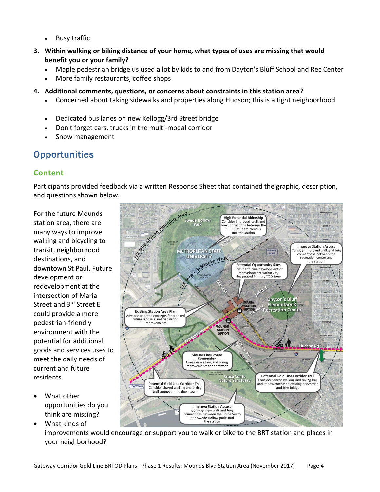- **Busy traffic**
- **3. Within walking or biking distance of your home, what types of uses are missing that would benefit you or your family?**
	- Maple pedestrian bridge us used a lot by kids to and from Dayton's Bluff School and Rec Center
	- More family restaurants, coffee shops
- **4. Additional comments, questions, or concerns about constraints in this station area?** 
	- Concerned about taking sidewalks and properties along Hudson; this is a tight neighborhood
	- Dedicated bus lanes on new Kellogg/3rd Street bridge
	- Don't forget cars, trucks in the multi-modal corridor
	- Snow management

### **Opportunities**

### **Content**

Participants provided feedback via a written Response Sheet that contained the graphic, description, and questions shown below.

For the future Mounds station area, there are many ways to improve walking and bicycling to transit, neighborhood destinations, and downtown St Paul. Future development or redevelopment at the intersection of Maria Street and 3<sup>rd</sup> Street E could provide a more pedestrian-friendly environment with the potential for additional goods and services uses to meet the daily needs of current and future residents.

- What other opportunities do you think are missing?
	- and Swede Hollow parks and the station • What kinds of improvements would encourage or support you to walk or bike to the BRT station and places in your neighborhood?



Gateway Corridor Gold Line BRTOD Plans– Phase 1 Results: Mounds Blvd Station Area (November 2017) Page 4